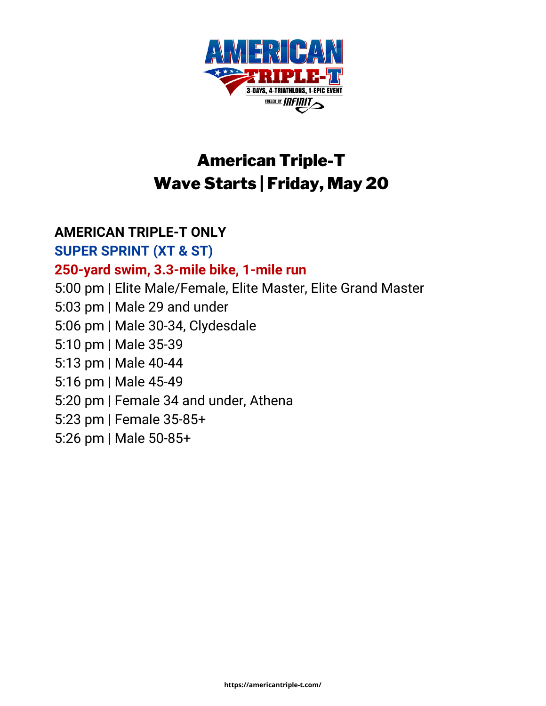

# American Triple-T Wave Starts | Friday, May 20

#### **AMERICAN TRIPLE-T ONLY**

**SUPER SPRINT (XT & ST) 250-yard swim, 3.3-mile bike, 1-mile run** 5:00 pm | Elite Male/Female, Elite Master, Elite Grand Master 5:03 pm | Male 29 and under 5:06 pm | Male 30-34, Clydesdale 5:10 pm | Male 35-39 5:13 pm | Male 40-44 5:16 pm | Male 45-49 5:20 pm | Female 34 and under, Athena 5:23 pm | Female 35-85+ 5:26 pm | Male 50-85+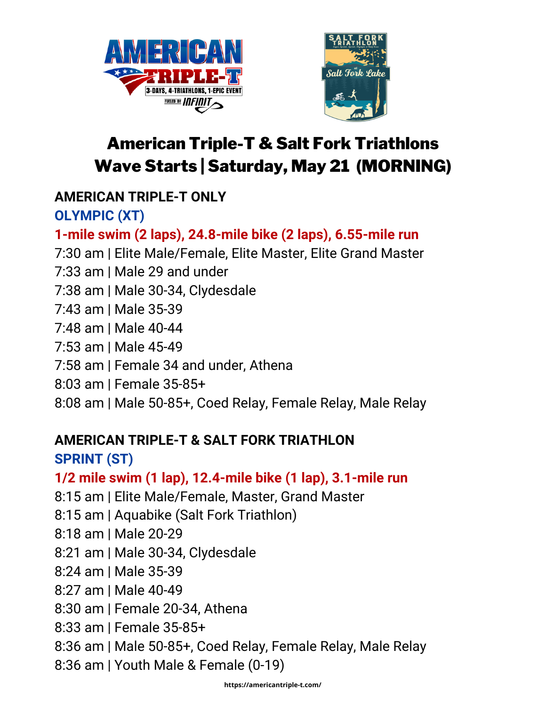



# American Triple-T & Salt Fork Triathlons Wave Starts | Saturday, May 21 (MORNING)

### **AMERICAN TRIPLE-T ONLY**

**OLYMPIC (XT)**

### **1-mile swim (2 laps), 24.8-mile bike (2 laps), 6.55-mile run**

7:30 am | Elite Male/Female, Elite Master, Elite Grand Master

7:33 am | Male 29 and under

7:38 am | Male 30-34, Clydesdale

7:43 am | Male 35-39

7:48 am | Male 40-44

7:53 am | Male 45-49

7:58 am | Female 34 and under, Athena

8:03 am | Female 35-85+

8:08 am | Male 50-85+, Coed Relay, Female Relay, Male Relay

## **AMERICAN TRIPLE-T & SALT FORK TRIATHLON**

**SPRINT (ST)**

**1/2 mile swim (1 lap), 12.4-mile bike (1 lap), 3.1-mile run**

8:15 am | Elite Male/Female, Master, Grand Master

8:15 am | Aquabike (Salt Fork Triathlon)

8:18 am | Male 20-29

8:21 am | Male 30-34, Clydesdale

8:24 am | Male 35-39

8:27 am | Male 40-49

8:30 am | Female 20-34, Athena

8:33 am | Female 35-85+

8:36 am | Male 50-85+, Coed Relay, Female Relay, Male Relay

8:36 am | Youth Male & Female (0-19)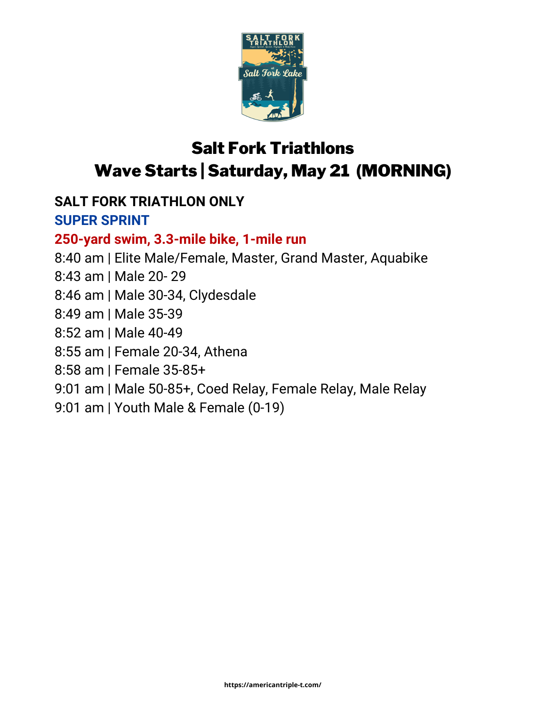

# Salt Fork Triathlons Wave Starts | Saturday, May 21 (MORNING)

### **SALT FORK TRIATHLON ONLY**

#### **SUPER SPRINT**

#### **250-yard swim, 3.3-mile bike, 1-mile run**

- 8:40 am | Elite Male/Female, Master, Grand Master, Aquabike
- 8:43 am | Male 20- 29
- 8:46 am | Male 30-34, Clydesdale
- 8:49 am | Male 35-39
- 8:52 am | Male 40-49
- 8:55 am | Female 20-34, Athena
- 8:58 am | Female 35-85+
- 9:01 am | Male 50-85+, Coed Relay, Female Relay, Male Relay
- 9:01 am | Youth Male & Female (0-19)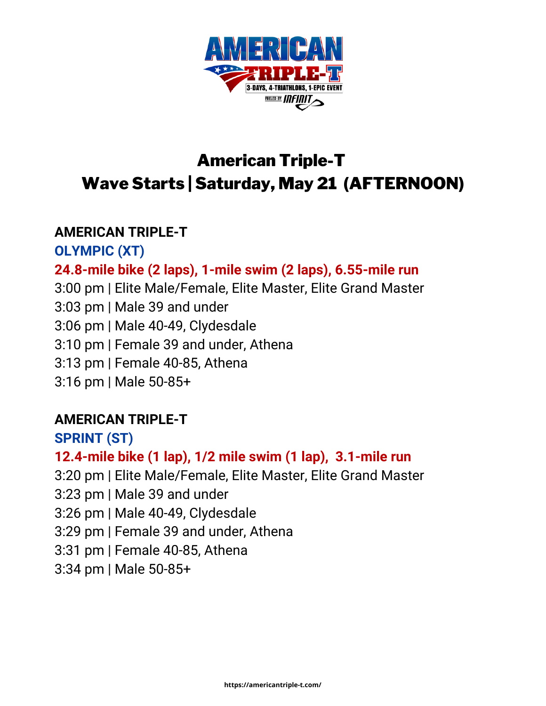

## American Triple-T Wave Starts | Saturday, May 21 (AFTERNOON)

#### **AMERICAN TRIPLE-T**

**OLYMPIC (XT)**

#### **24.8-mile bike (2 laps), 1-mile swim (2 laps), 6.55-mile run**

3:00 pm | Elite Male/Female, Elite Master, Elite Grand Master 3:03 pm | Male 39 and under 3:06 pm | Male 40-49, Clydesdale 3:10 pm | Female 39 and under, Athena 3:13 pm | Female 40-85, Athena 3:16 pm | Male 50-85+

#### **AMERICAN TRIPLE-T**

**SPRINT (ST)**

#### **12.4-mile bike (1 lap), 1/2 mile swim (1 lap), 3.1-mile run**

3:20 pm | Elite Male/Female, Elite Master, Elite Grand Master

3:23 pm | Male 39 and under

3:26 pm | Male 40-49, Clydesdale

3:29 pm | Female 39 and under, Athena

3:31 pm | Female 40-85, Athena

3:34 pm | Male 50-85+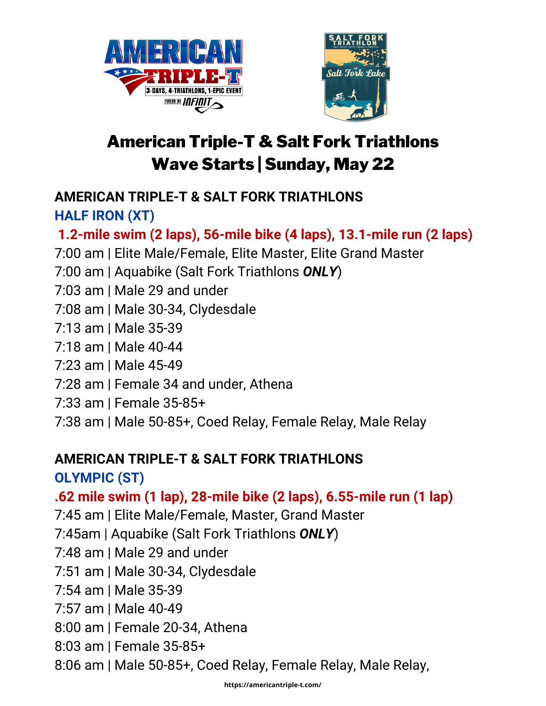



# American Triple-T & Salt Fork Triathlons Wave Starts | Sunday, May 22

#### **AMERICAN TRIPLE-T & SALT FORK TRIATHLONS HALF IRON (XT)**

### **1.2-mile swim (2 laps), 56-mile bike (4 laps), 13.1-mile run (2 laps)**

- 7:00 am | Elite Male/Female, Elite Master, Elite Grand Master
- 7:00 am | Aquabike (Salt Fork Triathlons *ONLY*)
- 7:03 am | Male 29 and under
- 7:08 am | Male 30-34, Clydesdale
- 7:13 am | Male 35-39
- 7:18 am | Male 40-44
- 7:23 am | Male 45-49
- 7:28 am | Female 34 and under, Athena
- 7:33 am | Female 35-85+
- 7:38 am | Male 50-85+, Coed Relay, Female Relay, Male Relay

#### **AMERICAN TRIPLE-T & SALT FORK TRIATHLONS**

### **OLYMPIC (ST)**

### **.62 mile swim (1 lap), 28-mile bike (2 laps), 6.55-mile run (1 lap)**

- 7:45 am | Elite Male/Female, Master, Grand Master
- 7:45am | Aquabike (Salt Fork Triathlons *ONLY*)
- 7:48 am | Male 29 and under
- 7:51 am | Male 30-34, Clydesdale
- 7:54 am | Male 35-39
- 7:57 am | Male 40-49
- 8:00 am | Female 20-34, Athena
- 8:03 am | Female 35-85+
- 8:06 am | Male 50-85+, Coed Relay, Female Relay, Male Relay,